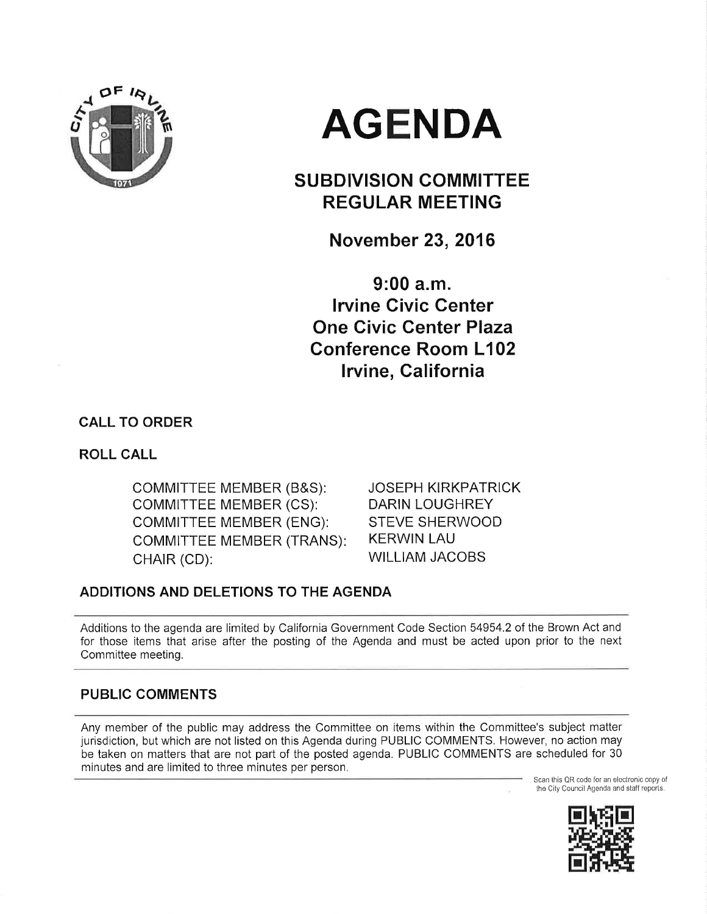

# AGENDA

# SUBDIVISION COMMITTEE REGULAR MEETING

November 23, 2016

9:00 a.m. Irvine Civic Genter One Civic Center Plaza Conference Room L102 lrvine, California

CALL TO ORDER

ROLL CALL

COMMITTEE MEMBER (B&S): coMMITTEE MEMBER (CS): COMMITTEE MEMBER (ENG): COMMITTEE MEMBER (TRANS) CHAIR (CD):

JOSEPH KIRKPATRICK DARIN LOUGHREY STEVE SHERWOOD KERWIN LAU WILLIAM JACOBS

# ADDITIONS AND DELETIONS TO THE AGENDA

Additions to the agenda are limited by California Government Code Section 54954.2 of the Brown Act and for those items that arise after the posting of the Agenda and must be acted upon prior to the next Committee meeting.

# PUBLIC COMMENTS

Any member of the public may address the Committee on items within the Committee's subject matter jurisdiction, but which are not listed on this Agenda during PUBLIC COMMENTS. However, no action may be taken on matters that are not part of the posted agenda. PUBLIC COMMENTS are scheduled for 30 minutes and are limited to three minutes per person,

Scan this QR code for an electronic copy of the City Council Agenda and staff reports,

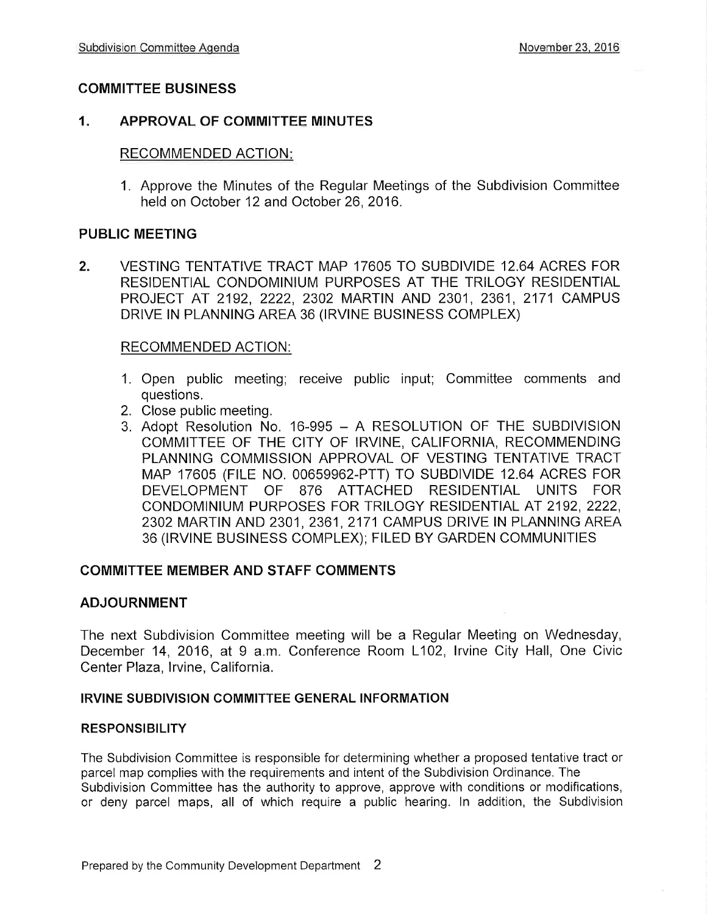# COMMITTEE BUSINESS

# 1, APPROVAL OF COMMITTEE MINUTES

# RECOMMENDED ACTION

1. Approve the Minutes of the Regular Meetings of the Subdivision Committee held on October 12 and October 26,2016.

# PUBLIC MEETING

2. VESTING TENTATIVE TRACT MAP 17605 TO SUBDIVIDE 12.64 ACRES FOR RESIDENTIAL CONDOMINIUM PURPOSES AT THE TRILOGY RESIDENTIAL PROJECT AT 2192, 2222, 2302 MARTIN AND 2301, 2361, 2171 CAMPUS DRIVE IN PLANNING AREA 36 (IRVINE BUSINESS COMPLEX)

### RECOMMENDED ACTION:

- 1. Open public meeting; receive public input; Committee comments and questions.
- 2. Close public meeting.
- 3. Adopt Resolution No. 16-995 A RESOLUTION OF THE SUBDIVISION COMMITTEE OF THE CITY OF IRVINE, CALIFORNIA, RECOMMENDING PLANNING COMMISSION APPROVAL OF VESTING TENTATIVE TRACT MAp 17605 (F|LE NO. 00659962-PTT) TO SUBDIVIDE 12.64 ACRES FOR DEVELOPMENT OF 876 ATTACHED RESIDENTIAL UNITS FOR CONDOMINIUM PURPOSES FOR TRILOGY RESIDENTIAL AT 2192, 2222, 2302 MARTIN AND 2301 ,2361,2171 CAMPUS DRIVE IN PLANNING AREA 36 (lRVlNE BUSINESS COMPLEX); FILED BY GARDEN COMMUNITIES

#### COMMITTEE MEMBER AND STAFF COMMENTS

# ADJOURNMENT

The next Subdivision Committee meeting will be a Regular Meeting on Wednesday, December 14, 2016, at 9 a.m. Conference Room L102, lrvine City Hall, One Civic Center Plaza, Irvine, California.

#### IRVINE SUBDIVISION COMMITTEE GENERAL INFORMATION

#### RESPONSIBILITY

The Subdivision Committee is responsible for determining whether a proposed tentative tract or parcel map complies with the requirements and intent of the Subdivision Ordinance. The Subdivision Committee has the authority to approve, approve with conditions or modifications, or deny parcel maps, all of which require a public hearing. ln addition, the Subdivision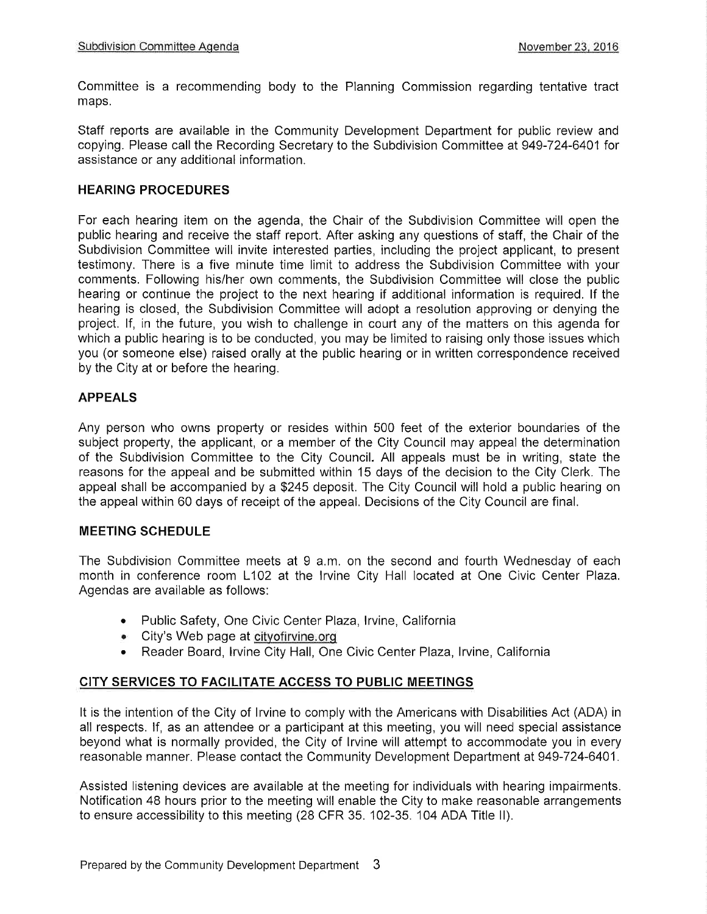Committee is a recommending body to the Planning Commission regarding tentative tract maps.

Staff reports are available in the Community Development Department for public review and copying. Please call the Recording Secretary to the Subdivision Committee at949-724-6401 for assistance or any additional information.

#### HEARING PROCEDURES

For each hearing item on the agenda, the Chair of the Subdivision Committee will open the public hearing and receive the staff report. After asking any questions of staff, the Chair of the Subdivision Committee will invite interested parties, including the project applicant, to present testimony. There is a five minute time limit to address the Subdivision Committee with your comments. Following his/her own comments, the Subdivision Committee will close the public hearing or continue the project to the next hearing if additional information is required. lf the hearing is closed, the Subdivision Committee will adopt a resolution approving or denying the project. lf, in the future, you wish to challenge in court any of the matters on this agenda for which a public hearing is to be conducted, you may be limited to raising only those issues which you (or someone else) raised orally at the public hearing or in written correspondence received by the City at or before the hearing.

### APPEALS

Any person who owns property or resides within 500 feet of the exterior boundaries of the subject property, the applicant, or a member of the City Council may appeal the determination of the Subdivision Committee to the City Council. All appeals must be in writing, state the reasons for the appeal and be submitted within 15 days of the decision to the City Clerk. The appeal shall be accompanied by a \$245 deposit. The City Council will hold a public hearing on the appeal within 60 days of receipt of the appeal. Decisions of the City Council are final.

#### MEETING SCHEDULE

The Subdivision Committee meets at 9 a.m. on the second and fourth Wednesday of each month in conference room L102 at the lrvine City Hall located at One Civic Center Plaza. Agendas are available as follows:

- Public Safety, One Civic Center Plaza, Irvine, California
- . City's Web page at cityofirvine.orq
- Reader Board, Irvine City Hall, One Civic Center Plaza, Irvine, California

# CITY SERVICES TO FACILITATE ACCESS TO PUBLIC MEETINGS

It is the intention of the City of lrvine to comply with the Americans with Disabilities Act (ADA) in all respects. lf, as an attendee or a participant at this meeting, you will need special assistance beyond what is normally provided, the City of lrvine will attempt to accommodate you in every reasonable manner. Please contact the Community Development Department at 949-724-6401.

Assisted listening devices are available at the meeting for individuals with hearing impairments. Notification 48 hours prior to the meeting will enable the City to make reasonable arrangements to ensure accessibility to this meeting (28 CFR 35. 102-35. 104 ADA Title ll).